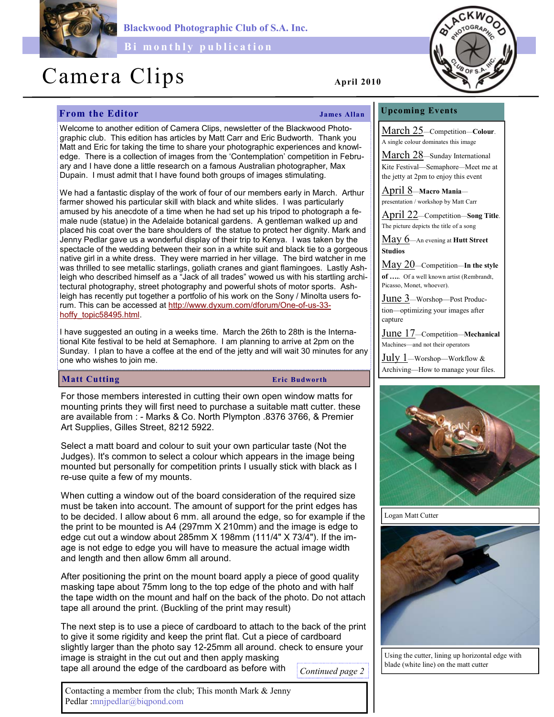

Blackwood Photographic Club of S.A. Inc.

Bi monthly publication

# Camera Clips April 2010

## **From the Editor** James Allan

## Upcoming Events

March 25—Competition—Colour. A single colour dominates this image

March 28—Sunday International Kite Festival—Semaphore—Meet me at the jetty at 2pm to enjoy this event

April 8—Macro Mania presentation / workshop by Matt Carr

April 22—Competition—Song Title. The picture depicts the title of a song

May 6—An evening at Hutt Street Studios

May 20—Competition—In the style of ….. Of a well known artist (Rembrandt, Picasso, Monet, whoever).

June 3—Worshop—Post Production—optimizing your images after capture

June 17—Competition—Mechanical Machines—and not their operators

July 1—Worshop—Workflow & Archiving—How to manage your files.



Logan Matt Cutter



Using the cutter, lining up horizontal edge with blade (white line) on the matt cutter

Welcome to another edition of Camera Clips, newsletter of the Blackwood Photographic club. This edition has articles by Matt Carr and Eric Budworth. Thank you Matt and Eric for taking the time to share your photographic experiences and knowledge. There is a collection of images from the 'Contemplation' competition in February and I have done a little research on a famous Australian photographer, Max Dupain. I must admit that I have found both groups of images stimulating.

We had a fantastic display of the work of four of our members early in March. Arthur farmer showed his particular skill with black and white slides. I was particularly amused by his anecdote of a time when he had set up his tripod to photograph a female nude (statue) in the Adelaide botanical gardens. A gentleman walked up and placed his coat over the bare shoulders of the statue to protect her dignity. Mark and Jenny Pedlar gave us a wonderful display of their trip to Kenya. I was taken by the spectacle of the wedding between their son in a white suit and black tie to a gorgeous native girl in a white dress. They were married in her village. The bird watcher in me was thrilled to see metallic starlings, goliath cranes and giant flamingoes. Lastly Ashleigh who described himself as a "Jack of all trades" wowed us with his startling architectural photography, street photography and powerful shots of motor sports. Ashleigh has recently put together a portfolio of his work on the Sony / Minolta users forum. This can be accessed at http://www.dyxum.com/dforum/One-of-us-33 hoffy\_topic58495.html.

I have suggested an outing in a weeks time. March the 26th to 28th is the International Kite festival to be held at Semaphore. I am planning to arrive at 2pm on the Sunday. I plan to have a coffee at the end of the jetty and will wait 30 minutes for any one who wishes to join me.

### Matt Cutting Eric Budworth

For those members interested in cutting their own open window matts for mounting prints they will first need to purchase a suitable matt cutter. these are available from : - Marks & Co. North Plympton .8376 3766, & Premier Art Supplies, Gilles Street, 8212 5922.

Select a matt board and colour to suit your own particular taste (Not the Judges). It's common to select a colour which appears in the image being mounted but personally for competition prints I usually stick with black as I re-use quite a few of my mounts.

When cutting a window out of the board consideration of the required size must be taken into account. The amount of support for the print edges has to be decided. I allow about 6 mm. all around the edge, so for example if the the print to be mounted is A4 (297mm X 210mm) and the image is edge to edge cut out a window about 285mm X 198mm (111/4" X 73/4"). If the image is not edge to edge you will have to measure the actual image width and length and then allow 6mm all around.

After positioning the print on the mount board apply a piece of good quality masking tape about 75mm long to the top edge of the photo and with half the tape width on the mount and half on the back of the photo. Do not attach tape all around the print. (Buckling of the print may result)

The next step is to use a piece of cardboard to attach to the back of the print to give it some rigidity and keep the print flat. Cut a piece of cardboard slightly larger than the photo say 12-25mm all around. check to ensure your image is straight in the cut out and then apply masking tape all around the edge of the cardboard as before with Continued page 2

Contacting a member from the club; This month Mark & Jenny Pedlar :mnjpedlar@biqpond.com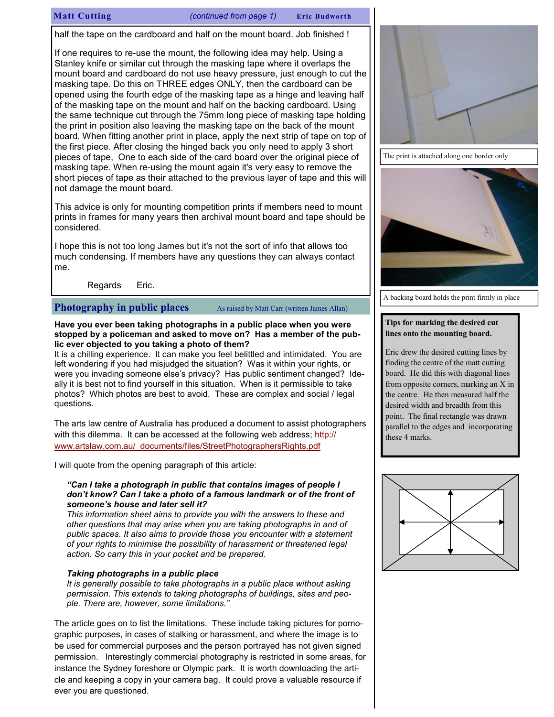### Matt Cutting (continued from page 1) Eric Budworth

half the tape on the cardboard and half on the mount board. Job finished !

If one requires to re-use the mount, the following idea may help. Using a Stanley knife or similar cut through the masking tape where it overlaps the mount board and cardboard do not use heavy pressure, just enough to cut the masking tape. Do this on THREE edges ONLY, then the cardboard can be opened using the fourth edge of the masking tape as a hinge and leaving half of the masking tape on the mount and half on the backing cardboard. Using the same technique cut through the 75mm long piece of masking tape holding the print in position also leaving the masking tape on the back of the mount board. When fitting another print in place, apply the next strip of tape on top of the first piece. After closing the hinged back you only need to apply 3 short pieces of tape, One to each side of the card board over the original piece of masking tape. When re-using the mount again it's very easy to remove the short pieces of tape as their attached to the previous layer of tape and this will not damage the mount board.

This advice is only for mounting competition prints if members need to mount prints in frames for many years then archival mount board and tape should be considered.

I hope this is not too long James but it's not the sort of info that allows too much condensing. If members have any questions they can always contact me.

Regards Eric.

**Photography in public places** As raised by Matt Carr (written James Allan)

#### Have you ever been taking photographs in a public place when you were stopped by a policeman and asked to move on? Has a member of the public ever objected to you taking a photo of them?

It is a chilling experience. It can make you feel belittled and intimidated. You are left wondering if you had misjudged the situation? Was it within your rights, or were you invading someone else's privacy? Has public sentiment changed? Ideally it is best not to find yourself in this situation. When is it permissible to take photos? Which photos are best to avoid. These are complex and social / legal questions.

The arts law centre of Australia has produced a document to assist photographers with this dilemma. It can be accessed at the following web address; http:// www.artslaw.com.au/\_documents/files/StreetPhotographersRights.pdf

I will quote from the opening paragraph of this article:

#### "Can I take a photograph in public that contains images of people I don't know? Can I take a photo of a famous landmark or of the front of someone's house and later sell it?

This information sheet aims to provide you with the answers to these and other questions that may arise when you are taking photographs in and of public spaces. It also aims to provide those you encounter with a statement of your rights to minimise the possibility of harassment or threatened legal action. So carry this in your pocket and be prepared.

#### Taking photographs in a public place

It is generally possible to take photographs in a public place without asking permission. This extends to taking photographs of buildings, sites and people. There are, however, some limitations."

The article goes on to list the limitations. These include taking pictures for pornographic purposes, in cases of stalking or harassment, and where the image is to be used for commercial purposes and the person portrayed has not given signed permission. Interestingly commercial photography is restricted in some areas, for instance the Sydney foreshore or Olympic park. It is worth downloading the article and keeping a copy in your camera bag. It could prove a valuable resource if ever you are questioned.



The print is attached along one border only



A backing board holds the print firmly in place

### Tips for marking the desired cut lines onto the mounting board.

Eric drew the desired cutting lines by finding the centre of the matt cutting board. He did this with diagonal lines from opposite corners, marking an X in the centre. He then measured half the desired width and breadth from this point. The final rectangle was drawn parallel to the edges and incorporating these 4 marks.

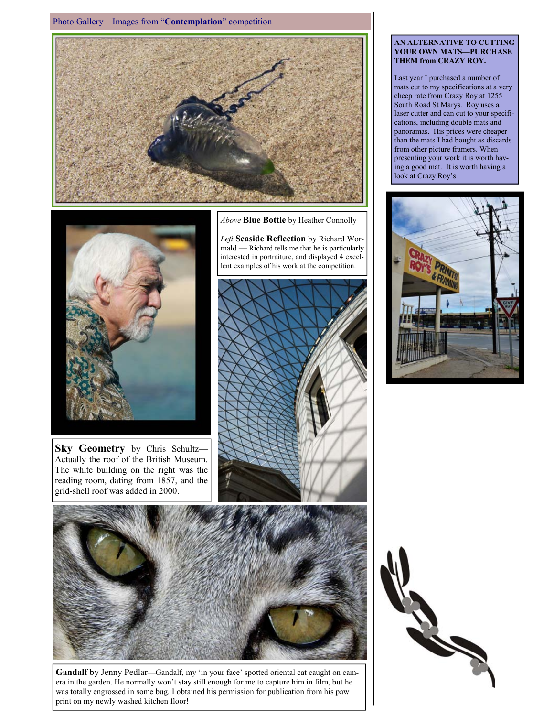Photo Gallery—Images from "Contemplation" competition





Sky Geometry by Chris Schultz-Actually the roof of the British Museum. The white building on the right was the reading room, dating from 1857, and the grid-shell roof was added in 2000.

Above **Blue Bottle** by Heather Connolly

Left Seaside Reflection by Richard Wormald — Richard tells me that he is particularly interested in portraiture, and displayed 4 excellent examples of his work at the competition.





Gandalf by Jenny Pedlar—Gandalf, my 'in your face' spotted oriental cat caught on camera in the garden. He normally won't stay still enough for me to capture him in film, but he was totally engrossed in some bug. I obtained his permission for publication from his paw print on my newly washed kitchen floor!

#### AN ALTERNATIVE TO CUTTING YOUR OWN MATS—PURCHASE THEM from CRAZY ROY.

Last year I purchased a number of mats cut to my specifications at a very cheep rate from Crazy Roy at 1255 South Road St Marys. Roy uses a laser cutter and can cut to your specifications, including double mats and panoramas. His prices were cheaper than the mats I had bought as discards from other picture framers. When presenting your work it is worth having a good mat. It is worth having a look at Crazy Roy's



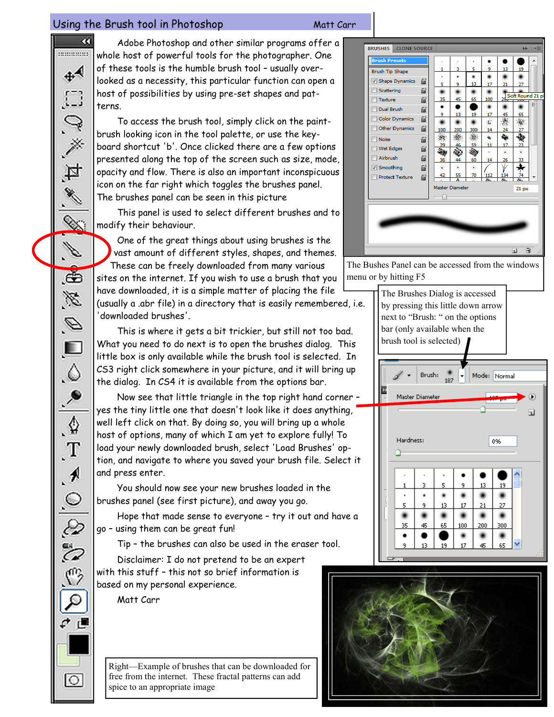# Using the Brush tool in Photoshop Matt Carr

Þ,

e Co

 $\mathscr{A}$ 

Í.

Ğ,

B

 $\mathscr{D}$ 

 $\Box$ 

 $\Diamond$ 

 $\frac{1}{\sqrt{2}}$ 

 $\clubsuit$ 

 $\mathbf{T}$ 

 $\cdot$ 

 $\odot$ 

È

Ğ

09

 $\circ$ 

 $\alpha$ Adobe Photoshop and other similar programs offer a ........... whole host of powerful tools for the photographer. One of these tools is the humble brush tool – usually over- $+4$ looked as a necessity, this particular function can open a  $\Box$ host of possibilities by using pre-set shapes and patterns.

To access the brush tool, simply click on the paintbrush looking icon in the tool palette, or use the keyboard shortcut 'b'. Once clicked there are a few options presented along the top of the screen such as size, mode, opacity and flow. There is also an important inconspicuous icon on the far right which toggles the brushes panel. The brushes panel can be seen in this picture

This panel is used to select different brushes and to modify their behaviour.

One of the great things about using brushes is the vast amount of different styles, shapes, and themes. These can be freely downloaded from many various sites on the internet. If you wish to use a brush that you have downloaded, it is a simple matter of placing the file

(usually a .abr file) in a directory that is easily remembered, i.e. 'downloaded brushes'.

This is where it gets a bit trickier, but still not too bad. What you need to do next is to open the brushes dialog. This little box is only available while the brush tool is selected. In CS3 right click somewhere in your picture, and it will bring up the dialog. In CS4 it is available from the options bar.

Now see that little triangle in the top right hand corner – yes the tiny little one that doesn't look like it does anything, well left click on that. By doing so, you will bring up a whole host of options, many of which I am yet to explore fully! To load your newly downloaded brush, select 'Load Brushes' option, and navigate to where you saved your brush file. Select it and press enter.

You should now see your new brushes loaded in the brushes panel (see first picture), and away you go.

Hope that made sense to everyone – try it out and have a go – using them can be great fun!

Tip – the brushes can also be used in the eraser tool.

Disclaimer: I do not pretend to be an expert with this stuff – this not so brief information is based on my personal experience.

Matt Carr

Right—Example of brushes that can be downloaded for free from the internet. These fractal patterns can add spice to an appropriate image



The Bushes Panel can be accessed from the windows menu or by hitting F5